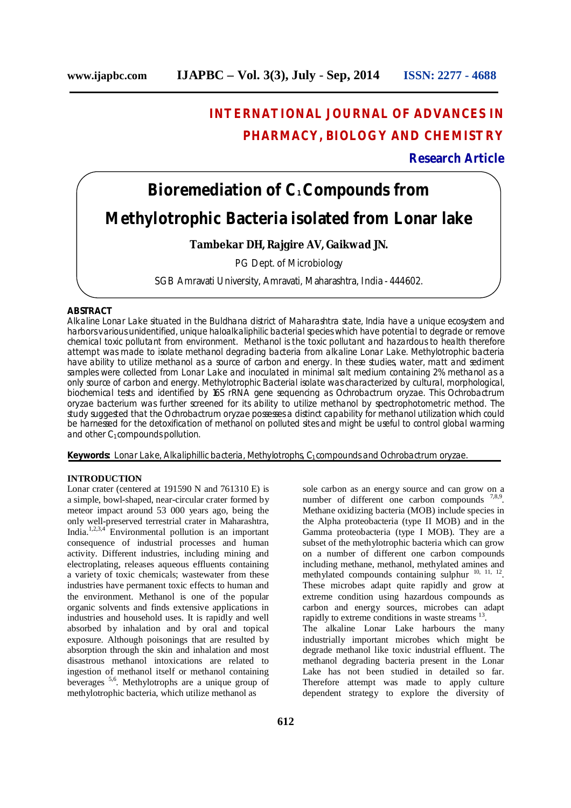# **INTERNATIONAL JOURNAL OF ADVANCES IN PHARMACY, BIOLOGY AND CHEMISTRY**

**Research Article**

# **Bioremediation of C1Compounds from Methylotrophic Bacteria isolated from Lonar lake**

### **Tambekar DH, Rajgire AV, Gaikwad JN.**

PG Dept. of Microbiology

SGB Amravati University, Amravati, Maharashtra, India - 444602.

# **ABSTRACT**

Alkaline Lonar Lake situated in the Buldhana district of Maharashtra state, India have a unique ecosystem and harbors various unidentified, unique haloalkaliphilic bacterial species which have potential to degrade or remove chemical toxic pollutant from environment. Methanol is the toxic pollutant and hazardous to health therefore attempt was made to isolate methanol degrading bacteria from alkaline Lonar Lake. Methylotrophic bacteria have ability to utilize methanol as a source of carbon and energy. In these studies, water, matt and sediment samples were collected from Lonar Lake and inoculated in minimal salt medium containing 2% methanol as a only source of carbon and energy. Methylotrophic Bacterial isolate was characterized by cultural, morphological, biochemical tests and identified by 16S rRNA gene sequencing as *Ochrobactrum oryzae*. This *Ochrobactrum oryzae* bacterium was further screened for its ability to utilize methanol by spectrophotometric method. The study suggested that the *Ochrobactrum oryzae* posses es a distinct capability for methanol utilization which could be harnessed for the detoxification of methanol on polluted sites and might be useful to control global warming and other  $C_1$  compounds pollution.

**Keywords:** Lonar Lake, Alkaliphillic bacteria, Methylotrophs, C<sub>1</sub> compounds and *Ochrobactrum oryzae*.

# **INTRODUCTION**

Lonar crater (centered at 191590 N and 761310 E) is a simple, bowl-shaped, near-circular crater formed by meteor impact around 53 000 years ago, being the only well-preserved terrestrial crater in Maharashtra, India.<sup>1,2,3,4</sup> Environmental pollution is an important consequence of industrial processes and human activity. Different industries, including mining and electroplating, releases aqueous effluents containing a variety of toxic chemicals; wastewater from these industries have permanent toxic effects to human and the environment. Methanol is one of the popular organic solvents and finds extensive applications in industries and household uses. It is rapidly and well absorbed by inhalation and by oral and topical exposure. Although poisonings that are resulted by absorption through the skin and inhalation and most disastrous methanol intoxications are related to ingestion of methanol itself or methanol containing beverages 5,6 . Methylotrophs are a unique group of methylotrophic bacteria, which utilize methanol as

sole carbon as an energy source and can grow on a number of different one carbon compounds  $7,8,9$ . Methane oxidizing bacteria (MOB) include species in the Alpha proteobacteria (type II MOB) and in the Gamma proteobacteria (type I MOB). They are a subset of the methylotrophic bacteria which can grow on a number of different one carbon compounds including methane, methanol, methylated amines and methylated compounds containing sulphur  $^{10, 11, 12}$ . These microbes adapt quite rapidly and grow at extreme condition using hazardous compounds as carbon and energy sources, microbes can adapt rapidly to extreme conditions in waste streams <sup>13</sup>. The alkaline Lonar Lake harbours the many industrially important microbes which might be degrade methanol like toxic industrial effluent. The methanol degrading bacteria present in the Lonar Lake has not been studied in detailed so far. Therefore attempt was made to apply culture dependent strategy to explore the diversity of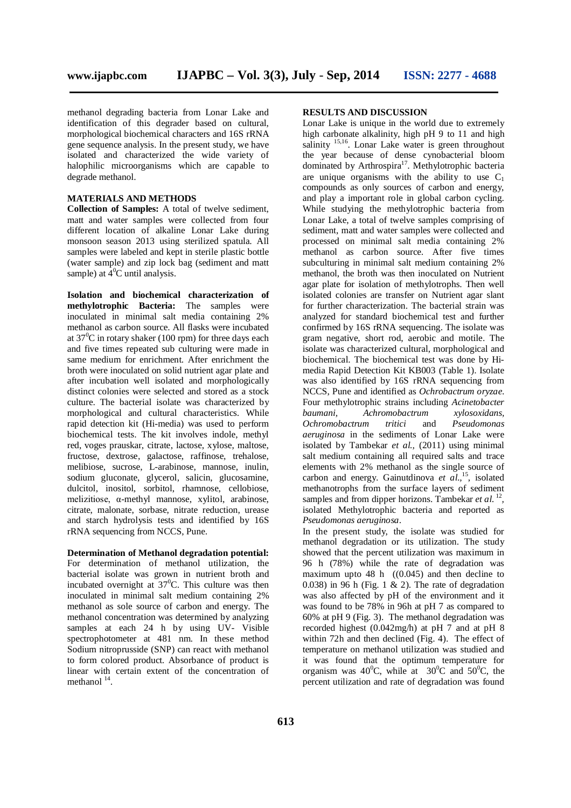methanol degrading bacteria from Lonar Lake and identification of this degrader based on cultural, morphological biochemical characters and 16S rRNA gene sequence analysis. In the present study, we have isolated and characterized the wide variety of halophilic microorganisms which are capable to degrade methanol.

#### **MATERIALS AND METHODS**

**Collection of Samples:** A total of twelve sediment, matt and water samples were collected from four different location of alkaline Lonar Lake during monsoon season 2013 using sterilized spatula. All samples were labeled and kept in sterile plastic bottle (water sample) and zip lock bag (sediment and matt sample) at  $\overline{4}^0C$  until analysis.

**Isolation and biochemical characterization of methylotrophic Bacteria:** The samples were inoculated in minimal salt media containing 2% methanol as carbon source. All flasks were incubated at  $37^0C$  in rotary shaker (100 rpm) for three days each and five times repeated sub culturing were made in same medium for enrichment. After enrichment the broth were inoculated on solid nutrient agar plate and after incubation well isolated and morphologically distinct colonies were selected and stored as a stock culture. The bacterial isolate was characterized by morphological and cultural characteristics. While rapid detection kit (Hi-media) was used to perform biochemical tests. The kit involves indole, methyl red, voges prauskar, citrate, lactose, xylose, maltose, fructose, dextrose, galactose, raffinose, trehalose, melibiose, sucrose, L-arabinose, mannose, inulin, sodium gluconate, glycerol, salicin, glucosamine, dulcitol, inositol, sorbitol, rhamnose, cellobiose, melizitiose, α-methyl mannose, xylitol, arabinose, citrate, malonate, sorbase, nitrate reduction, urease and starch hydrolysis tests and identified by 16S rRNA sequencing from NCCS, Pune.

**Determination of Methanol degradation potential:** For determination of methanol utilization, the bacterial isolate was grown in nutrient broth and incubated overnight at  $37^{\circ}$ C. This culture was then inoculated in minimal salt medium containing 2% methanol as sole source of carbon and energy. The methanol concentration was determined by analyzing samples at each 24 h by using UV- Visible spectrophotometer at 481 nm*.* In these method Sodium nitroprusside (SNP) can react with methanol to form colored product. Absorbance of product is linear with certain extent of the concentration of methanol<sup>14</sup>.

#### **RESULTS AND DISCUSSION**

Lonar Lake is unique in the world due to extremely high carbonate alkalinity, high pH 9 to 11 and high salinity<sup>15,16</sup>. Lonar Lake water is green throughout the year because of dense cynobacterial bloom dominated by Arthrospira<sup>17</sup>. Methylotrophic bacteria are unique organisms with the ability to use  $C_1$ compounds as only sources of carbon and energy, and play a important role in global carbon cycling. While studying the methylotrophic bacteria from Lonar Lake, a total of twelve samples comprising of sediment, matt and water samples were collected and processed on minimal salt media containing 2% methanol as carbon source. After five times subculturing in minimal salt medium containing 2% methanol, the broth was then inoculated on Nutrient agar plate for isolation of methylotrophs. Then well isolated colonies are transfer on Nutrient agar slant for further characterization. The bacterial strain was analyzed for standard biochemical test and further confirmed by 16S rRNA sequencing. The isolate was gram negative, short rod, aerobic and motile. The isolate was characterized cultural, morphological and biochemical. The biochemical test was done by Himedia Rapid Detection Kit KB003 (Table 1). Isolate was also identified by 16S rRNA sequencing from NCCS, Pune and identified as *Ochrobactrum oryzae*. Four methylotrophic strains including *Acinetobacter baumani, Achromobactrum xylosoxidans, Ochromobactrum tritici* and *Pseudomonas aeruginosa* in the sediments of Lonar Lake were isolated by Tambekar *et al.,* (2011) using minimal salt medium containing all required salts and trace elements with 2% methanol as the single source of carbon and energy. Gainutdinova *et al.,* 15 , isolated methanotrophs from the surface layers of sediment samples and from dipper horizons. Tambekar *et al.*<sup>12</sup>, isolated Methylotrophic bacteria and reported as *Pseudomonas aeruginosa*.

In the present study, the isolate was studied for methanol degradation or its utilization. The study showed that the percent utilization was maximum in 96 h (78%) while the rate of degradation was maximum upto 48 h ((0.045) and then decline to 0.038) in 96 h (Fig. 1  $\&$  2). The rate of degradation was also affected by pH of the environment and it was found to be 78% in 96h at pH 7 as compared to 60% at pH 9 (Fig. 3). The methanol degradation was recorded highest (0.042mg/h) at pH 7 and at pH 8 within 72h and then declined (Fig. 4). The effect of temperature on methanol utilization was studied and it was found that the optimum temperature for organism was  $40^{\circ}$ C, while at  $30^{\circ}$ C and  $50^{\circ}$ C, the percent utilization and rate of degradation was found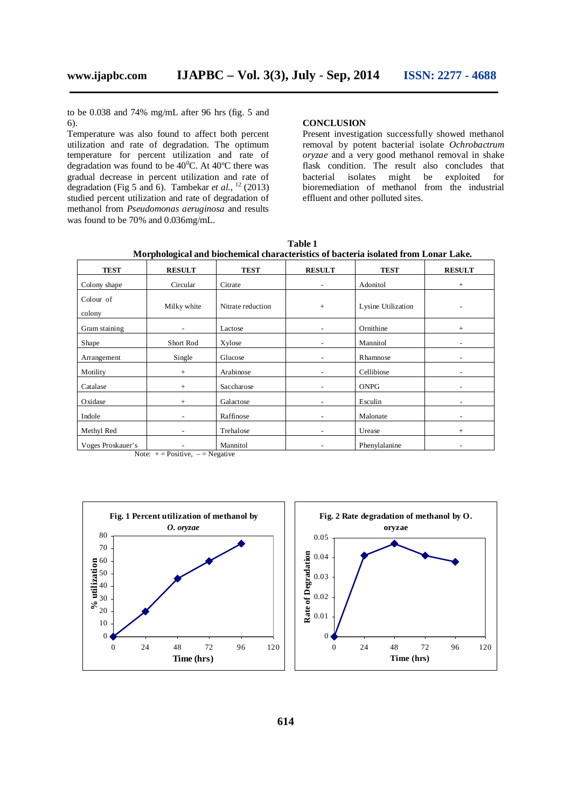to be 0.038 and 74% mg/mL after 96 hrs (fig. 5 and 6).

Temperature was also found to affect both percent utilization and rate of degradation. The optimum temperature for percent utilization and rate of degradation was found to be  $40^{\circ}$ C. At  $40^{\circ}$ C there was gradual decrease in percent utilization and rate of degradation (Fig 5 and 6). Tambekar *et al.*, <sup>12</sup> (2013) studied percent utilization and rate of degradation of methanol from *Pseudomonas aeruginosa* and results was found to be 70% and 0.036mg/mL.

#### **CONCLUSION**

Present investigation successfully showed methanol removal by potent bacterial isolate *Ochrobactrum oryzae* and a very good methanol removal in shake flask condition. The result also concludes that bacterial isolates might be exploited for isolates might be exploited for bioremediation of methanol from the industrial effluent and other polluted sites.

**TEST RESULT TEST RESULT TEST RESULT** Colony shape Circular Citrate - Adonitol + Colour of colony Milky white Nitrate reduction + Lysine Utilization Gram staining - Lactose - Ornithine + Shape Short Rod Xylose - Mannitol -Arrangement Single Glucose - Rhamnose Motility + Arabinose - Cellibiose - Catalase  $\vert$  + Saccharose  $\vert$  - ONPG -Oxidase  $+$  Galactose  $\left\lfloor \frac{1}{2} \right\rfloor$  - Esculin -Indole **1988** - Raffinose **- Malonate** - Malonate -Methyl Red  $\vert$  - Trehalose  $\vert$  - Urease + Voges Proskauer's | - Mannitol | - Phenylalanine

**Table 1 Morphological and biochemical characteristics of bacteria isolated from Lonar Lake.**

Note:  $+$  = Positive,  $-$  = Negative



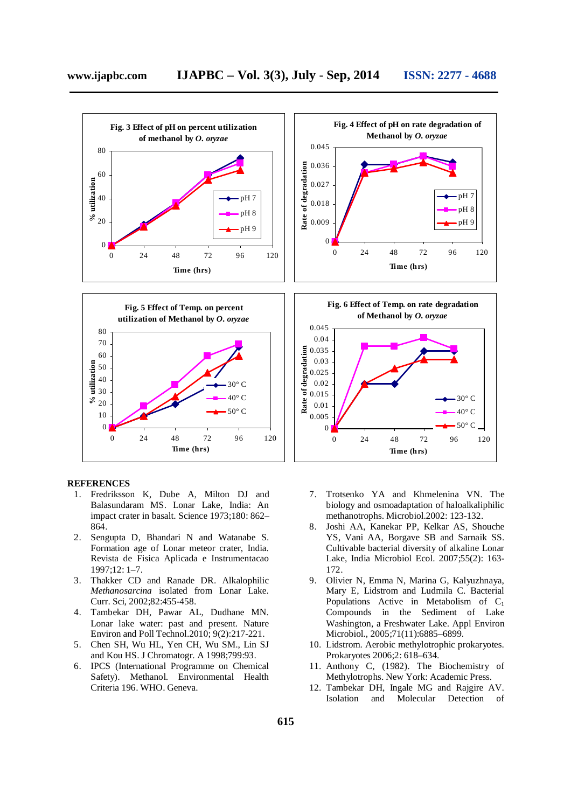

#### **REFERENCES**

- 1. Fredriksson K, Dube A, Milton DJ and Balasundaram MS. Lonar Lake, India: An impact crater in basalt. Science 1973;180: 862– 864.
- 2. Sengupta D, Bhandari N and Watanabe S. Formation age of Lonar meteor crater, India. Revista de Fisica Aplicada e Instrumentacao 1997;12: 1–7.
- 3. Thakker CD and Ranade DR. Alkalophilic *Methanosarcina* isolated from Lonar Lake. Curr. Sci, 2002;82:455-458.
- 4. Tambekar DH, Pawar AL, Dudhane MN. Lonar lake water: past and present. Nature Environ and Poll Technol.2010; 9(2):217-221.
- 5. Chen SH, Wu HL, Yen CH, Wu SM., Lin SJ and Kou HS. J Chromatogr. A 1998;799:93.
- 6. IPCS (International Programme on Chemical Safety). Methanol. Environmental Health Criteria 196. WHO. Geneva.
- 7. Trotsenko YA and Khmelenina VN. The biology and osmoadaptation of haloalkaliphilic methanotrophs. Microbiol.2002: 123-132.
- 8. Joshi AA, Kanekar PP, Kelkar AS, Shouche YS, Vani AA, Borgave SB and Sarnaik SS. Cultivable bacterial diversity of alkaline Lonar Lake, India Microbiol Ecol. 2007;55(2): 163- 172.
- 9. Olivier N, Emma N, Marina G, Kalyuzhnaya, Mary E, Lidstrom and Ludmila C. Bacterial Populations Active in Metabolism of C<sub>1</sub> Compounds in the Sediment of Lake Washington, a Freshwater Lake. Appl Environ Microbiol., 2005;71(11):6885–6899.
- 10. Lidstrom. Aerobic methylotrophic prokaryotes. Prokaryotes 2006;2: 618–634.
- 11. Anthony C, (1982). The Biochemistry of Methylotrophs. New York: Academic Press.
- 12. Tambekar DH, Ingale MG and Rajgire AV. Molecular Detection of